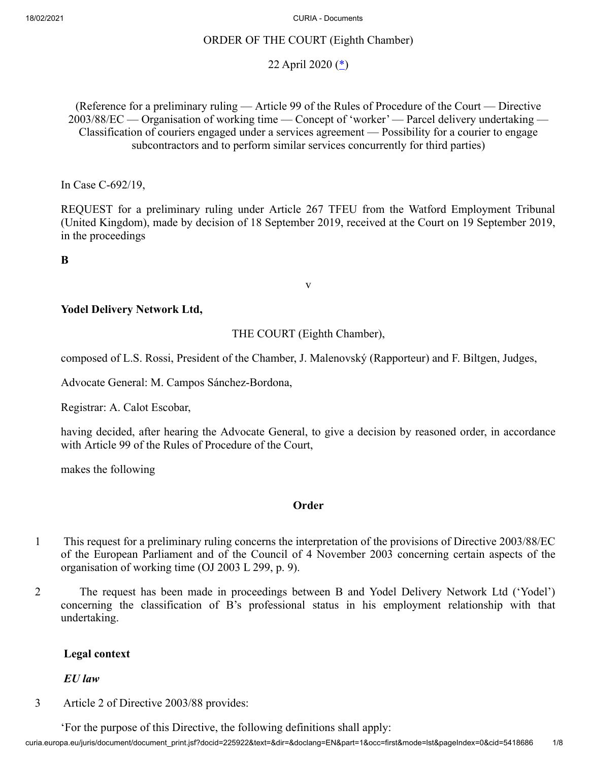### ORDER OF THE COURT (Eighth Chamber)

# <span id="page-0-0"></span>22 April 2020  $(*)$  $(*)$

(Reference for a preliminary ruling — Article 99 of the Rules of Procedure of the Court — Directive 2003/88/EC — Organisation of working time — Concept of 'worker' — Parcel delivery undertaking — Classification of couriers engaged under a services agreement — Possibility for a courier to engage subcontractors and to perform similar services concurrently for third parties)

In Case C‑692/19,

REQUEST for a preliminary ruling under Article 267 TFEU from the Watford Employment Tribunal (United Kingdom), made by decision of 18 September 2019, received at the Court on 19 September 2019, in the proceedings

**B**

### **Yodel Delivery Network Ltd,**

### THE COURT (Eighth Chamber),

v

composed of L.S. Rossi, President of the Chamber, J. Malenovský (Rapporteur) and F. Biltgen, Judges,

Advocate General: M. Campos Sánchez-Bordona,

Registrar: A. Calot Escobar,

having decided, after hearing the Advocate General, to give a decision by reasoned order, in accordance with Article 99 of the Rules of Procedure of the Court,

makes the following

### **Order**

- 1 This request for a preliminary ruling concerns the interpretation of the provisions of Directive 2003/88/EC of the European Parliament and of the Council of 4 November 2003 concerning certain aspects of the organisation of working time (OJ 2003 L 299, p. 9).
- 2 The request has been made in proceedings between B and Yodel Delivery Network Ltd ('Yodel') concerning the classification of B's professional status in his employment relationship with that undertaking.

### **Legal context**

*EU law*

3 Article 2 of Directive 2003/88 provides:

'For the purpose of this Directive, the following definitions shall apply: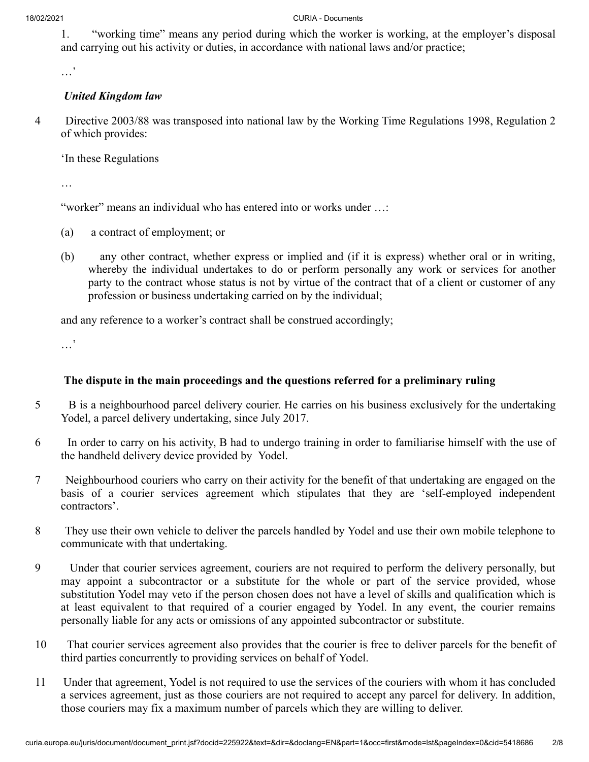1. "working time" means any period during which the worker is working, at the employer's disposal and carrying out his activity or duties, in accordance with national laws and/or practice;

…'

## *United Kingdom law*

4 Directive 2003/88 was transposed into national law by the Working Time Regulations 1998, Regulation 2 of which provides:

'In these Regulations

…

"worker" means an individual who has entered into or works under …:

- (a) a contract of employment; or
- (b) any other contract, whether express or implied and (if it is express) whether oral or in writing, whereby the individual undertakes to do or perform personally any work or services for another party to the contract whose status is not by virtue of the contract that of a client or customer of any profession or business undertaking carried on by the individual;

and any reference to a worker's contract shall be construed accordingly;

…'

# **The dispute in the main proceedings and the questions referred for a preliminary ruling**

- 5 B is a neighbourhood parcel delivery courier. He carries on his business exclusively for the undertaking Yodel, a parcel delivery undertaking, since July 2017.
- 6 In order to carry on his activity, B had to undergo training in order to familiarise himself with the use of the handheld delivery device provided by Yodel.
- 7 Neighbourhood couriers who carry on their activity for the benefit of that undertaking are engaged on the basis of a courier services agreement which stipulates that they are 'self-employed independent contractors'.
- 8 They use their own vehicle to deliver the parcels handled by Yodel and use their own mobile telephone to communicate with that undertaking.
- 9 Under that courier services agreement, couriers are not required to perform the delivery personally, but may appoint a subcontractor or a substitute for the whole or part of the service provided, whose substitution Yodel may veto if the person chosen does not have a level of skills and qualification which is at least equivalent to that required of a courier engaged by Yodel. In any event, the courier remains personally liable for any acts or omissions of any appointed subcontractor or substitute.
- 10 That courier services agreement also provides that the courier is free to deliver parcels for the benefit of third parties concurrently to providing services on behalf of Yodel.
- 11 Under that agreement, Yodel is not required to use the services of the couriers with whom it has concluded a services agreement, just as those couriers are not required to accept any parcel for delivery. In addition, those couriers may fix a maximum number of parcels which they are willing to deliver.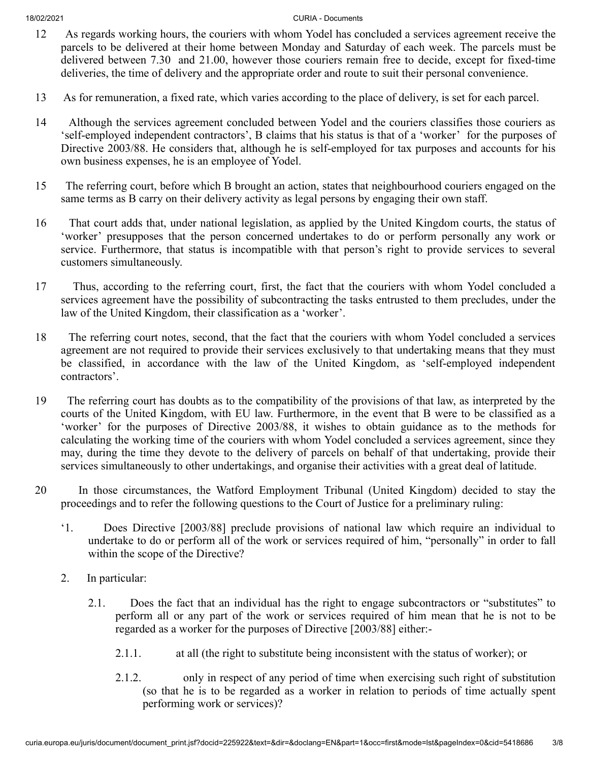- 12 As regards working hours, the couriers with whom Yodel has concluded a services agreement receive the parcels to be delivered at their home between Monday and Saturday of each week. The parcels must be delivered between 7.30 and 21.00, however those couriers remain free to decide, except for fixed-time deliveries, the time of delivery and the appropriate order and route to suit their personal convenience.
- 13 As for remuneration, a fixed rate, which varies according to the place of delivery, is set for each parcel.
- 14 Although the services agreement concluded between Yodel and the couriers classifies those couriers as 'self-employed independent contractors', B claims that his status is that of a 'worker' for the purposes of Directive 2003/88. He considers that, although he is self-employed for tax purposes and accounts for his own business expenses, he is an employee of Yodel.
- 15 The referring court, before which B brought an action, states that neighbourhood couriers engaged on the same terms as B carry on their delivery activity as legal persons by engaging their own staff.
- 16 That court adds that, under national legislation, as applied by the United Kingdom courts, the status of 'worker' presupposes that the person concerned undertakes to do or perform personally any work or service. Furthermore, that status is incompatible with that person's right to provide services to several customers simultaneously.
- 17 Thus, according to the referring court, first, the fact that the couriers with whom Yodel concluded a services agreement have the possibility of subcontracting the tasks entrusted to them precludes, under the law of the United Kingdom, their classification as a 'worker'.
- 18 The referring court notes, second, that the fact that the couriers with whom Yodel concluded a services agreement are not required to provide their services exclusively to that undertaking means that they must be classified, in accordance with the law of the United Kingdom, as 'self-employed independent contractors'.
- 19 The referring court has doubts as to the compatibility of the provisions of that law, as interpreted by the courts of the United Kingdom, with EU law. Furthermore, in the event that B were to be classified as a 'worker' for the purposes of Directive 2003/88, it wishes to obtain guidance as to the methods for calculating the working time of the couriers with whom Yodel concluded a services agreement, since they may, during the time they devote to the delivery of parcels on behalf of that undertaking, provide their services simultaneously to other undertakings, and organise their activities with a great deal of latitude.
- 20 In those circumstances, the Watford Employment Tribunal (United Kingdom) decided to stay the proceedings and to refer the following questions to the Court of Justice for a preliminary ruling:
	- '1. Does Directive [2003/88] preclude provisions of national law which require an individual to undertake to do or perform all of the work or services required of him, "personally" in order to fall within the scope of the Directive?
	- 2. In particular:
		- 2.1. Does the fact that an individual has the right to engage subcontractors or "substitutes" to perform all or any part of the work or services required of him mean that he is not to be regarded as a worker for the purposes of Directive [2003/88] either:-
			- 2.1.1. at all (the right to substitute being inconsistent with the status of worker); or
			- 2.1.2. only in respect of any period of time when exercising such right of substitution (so that he is to be regarded as a worker in relation to periods of time actually spent performing work or services)?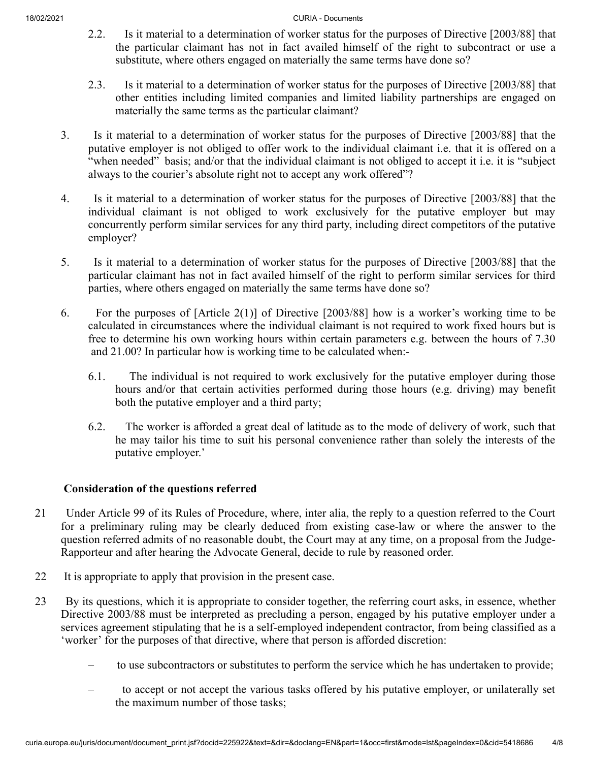- 2.2. Is it material to a determination of worker status for the purposes of Directive [2003/88] that the particular claimant has not in fact availed himself of the right to subcontract or use a substitute, where others engaged on materially the same terms have done so?
- 2.3. Is it material to a determination of worker status for the purposes of Directive [2003/88] that other entities including limited companies and limited liability partnerships are engaged on materially the same terms as the particular claimant?
- 3. Is it material to a determination of worker status for the purposes of Directive [2003/88] that the putative employer is not obliged to offer work to the individual claimant i.e. that it is offered on a "when needed" basis; and/or that the individual claimant is not obliged to accept it i.e. it is "subject always to the courier's absolute right not to accept any work offered"?
- 4. Is it material to a determination of worker status for the purposes of Directive [2003/88] that the individual claimant is not obliged to work exclusively for the putative employer but may concurrently perform similar services for any third party, including direct competitors of the putative employer?
- 5. Is it material to a determination of worker status for the purposes of Directive [2003/88] that the particular claimant has not in fact availed himself of the right to perform similar services for third parties, where others engaged on materially the same terms have done so?
- 6. For the purposes of [Article 2(1)] of Directive [2003/88] how is a worker's working time to be calculated in circumstances where the individual claimant is not required to work fixed hours but is free to determine his own working hours within certain parameters e.g. between the hours of 7.30 and 21.00? In particular how is working time to be calculated when:-
	- 6.1. The individual is not required to work exclusively for the putative employer during those hours and/or that certain activities performed during those hours (e.g. driving) may benefit both the putative employer and a third party;
	- 6.2. The worker is afforded a great deal of latitude as to the mode of delivery of work, such that he may tailor his time to suit his personal convenience rather than solely the interests of the putative employer.'

### **Consideration of the questions referred**

- 21 Under Article 99 of its Rules of Procedure, where, inter alia, the reply to a question referred to the Court for a preliminary ruling may be clearly deduced from existing case-law or where the answer to the question referred admits of no reasonable doubt, the Court may at any time, on a proposal from the Judge-Rapporteur and after hearing the Advocate General, decide to rule by reasoned order.
- 22 It is appropriate to apply that provision in the present case.
- 23 By its questions, which it is appropriate to consider together, the referring court asks, in essence, whether Directive 2003/88 must be interpreted as precluding a person, engaged by his putative employer under a services agreement stipulating that he is a self-employed independent contractor, from being classified as a 'worker' for the purposes of that directive, where that person is afforded discretion:
	- to use subcontractors or substitutes to perform the service which he has undertaken to provide;
	- to accept or not accept the various tasks offered by his putative employer, or unilaterally set the maximum number of those tasks;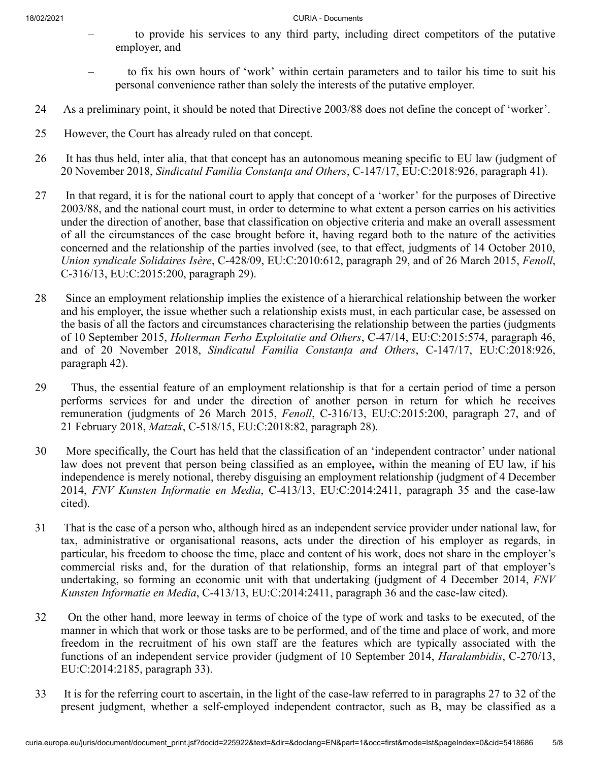- to provide his services to any third party, including direct competitors of the putative employer, and
- to fix his own hours of 'work' within certain parameters and to tailor his time to suit his personal convenience rather than solely the interests of the putative employer.
- 24 As a preliminary point, it should be noted that Directive 2003/88 does not define the concept of 'worker'.
- 25 However, the Court has already ruled on that concept.
- 26 It has thus held, inter alia, that that concept has an autonomous meaning specific to EU law (judgment of 20 November 2018, *Sindicatul Familia Constanţa and Others*, C‑147/17, EU:C:2018:926, paragraph 41).
- 27 In that regard, it is for the national court to apply that concept of a 'worker' for the purposes of Directive 2003/88, and the national court must, in order to determine to what extent a person carries on his activities under the direction of another, base that classification on objective criteria and make an overall assessment of all the circumstances of the case brought before it, having regard both to the nature of the activities concerned and the relationship of the parties involved (see, to that effect, judgments of 14 October 2010, *Union syndicale Solidaires Isère*, C‑428/09, EU:C:2010:612, paragraph 29, and of 26 March 2015, *Fenoll*, C‑316/13, EU:C:2015:200, paragraph 29).
- 28 Since an employment relationship implies the existence of a hierarchical relationship between the worker and his employer, the issue whether such a relationship exists must, in each particular case, be assessed on the basis of all the factors and circumstances characterising the relationship between the parties (judgments of 10 September 2015, *Holterman Ferho Exploitatie and Others*, C‑47/14, EU:C:2015:574, paragraph 46, and of 20 November 2018, *Sindicatul Familia Constanța and Others*, C‑147/17, EU:C:2018:926, paragraph 42).
- 29 Thus, the essential feature of an employment relationship is that for a certain period of time a person performs services for and under the direction of another person in return for which he receives remuneration (judgments of 26 March 2015, *Fenoll*, C‑316/13, EU:C:2015:200, paragraph 27, and of 21 February 2018, *Matzak*, C‑518/15, EU:C:2018:82, paragraph 28).
- 30 More specifically, the Court has held that the classification of an 'independent contractor' under national law does not prevent that person being classified as an employee**,** within the meaning of EU law, if his independence is merely notional, thereby disguising an employment relationship (judgment of 4 December 2014, *FNV Kunsten Informatie en Media*, C‑413/13, EU:C:2014:2411, paragraph 35 and the case-law cited).
- 31 That is the case of a person who, although hired as an independent service provider under national law, for tax, administrative or organisational reasons, acts under the direction of his employer as regards, in particular, his freedom to choose the time, place and content of his work, does not share in the employer's commercial risks and, for the duration of that relationship, forms an integral part of that employer's undertaking, so forming an economic unit with that undertaking (judgment of 4 December 2014, *FNV Kunsten Informatie en Media*, C‑413/13, EU:C:2014:2411, paragraph 36 and the case-law cited).
- 32 On the other hand, more leeway in terms of choice of the type of work and tasks to be executed, of the manner in which that work or those tasks are to be performed, and of the time and place of work, and more freedom in the recruitment of his own staff are the features which are typically associated with the functions of an independent service provider (judgment of 10 September 2014, *Haralambidis*, C‑270/13, EU:C:2014:2185, paragraph 33).
- 33 It is for the referring court to ascertain, in the light of the case-law referred to in paragraphs 27 to 32 of the present judgment, whether a self-employed independent contractor, such as B, may be classified as a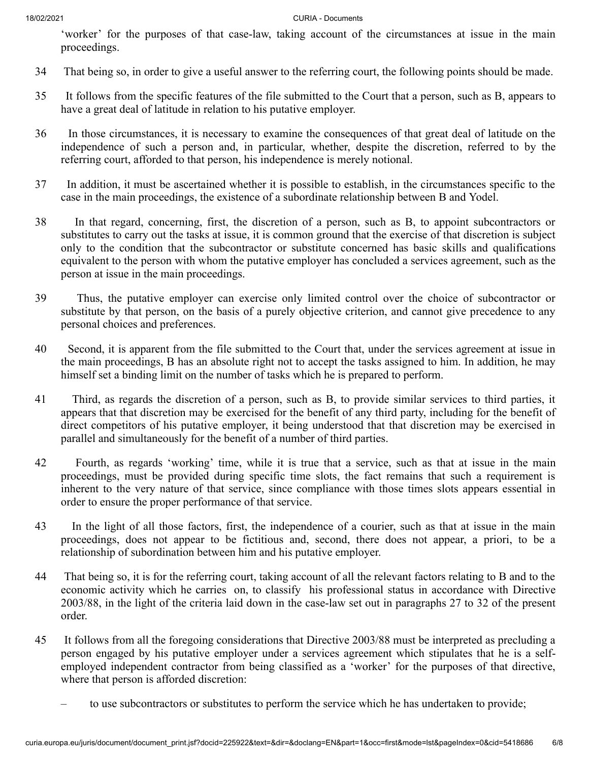'worker' for the purposes of that case-law, taking account of the circumstances at issue in the main proceedings.

- 34 That being so, in order to give a useful answer to the referring court, the following points should be made.
- 35 It follows from the specific features of the file submitted to the Court that a person, such as B, appears to have a great deal of latitude in relation to his putative employer.
- 36 In those circumstances, it is necessary to examine the consequences of that great deal of latitude on the independence of such a person and, in particular, whether, despite the discretion, referred to by the referring court, afforded to that person, his independence is merely notional.
- 37 In addition, it must be ascertained whether it is possible to establish, in the circumstances specific to the case in the main proceedings, the existence of a subordinate relationship between B and Yodel.
- 38 In that regard, concerning, first, the discretion of a person, such as B, to appoint subcontractors or substitutes to carry out the tasks at issue, it is common ground that the exercise of that discretion is subject only to the condition that the subcontractor or substitute concerned has basic skills and qualifications equivalent to the person with whom the putative employer has concluded a services agreement, such as the person at issue in the main proceedings.
- 39 Thus, the putative employer can exercise only limited control over the choice of subcontractor or substitute by that person, on the basis of a purely objective criterion, and cannot give precedence to any personal choices and preferences.
- 40 Second, it is apparent from the file submitted to the Court that, under the services agreement at issue in the main proceedings, B has an absolute right not to accept the tasks assigned to him. In addition, he may himself set a binding limit on the number of tasks which he is prepared to perform.
- 41 Third, as regards the discretion of a person, such as B, to provide similar services to third parties, it appears that that discretion may be exercised for the benefit of any third party, including for the benefit of direct competitors of his putative employer, it being understood that that discretion may be exercised in parallel and simultaneously for the benefit of a number of third parties.
- 42 Fourth, as regards 'working' time, while it is true that a service, such as that at issue in the main proceedings, must be provided during specific time slots, the fact remains that such a requirement is inherent to the very nature of that service, since compliance with those times slots appears essential in order to ensure the proper performance of that service.
- 43 In the light of all those factors, first, the independence of a courier, such as that at issue in the main proceedings, does not appear to be fictitious and, second, there does not appear, a priori, to be a relationship of subordination between him and his putative employer.
- 44 That being so, it is for the referring court, taking account of all the relevant factors relating to B and to the economic activity which he carries on, to classify his professional status in accordance with Directive 2003/88, in the light of the criteria laid down in the case-law set out in paragraphs 27 to 32 of the present order.
- 45 It follows from all the foregoing considerations that Directive 2003/88 must be interpreted as precluding a person engaged by his putative employer under a services agreement which stipulates that he is a selfemployed independent contractor from being classified as a 'worker' for the purposes of that directive, where that person is afforded discretion:
	- to use subcontractors or substitutes to perform the service which he has undertaken to provide;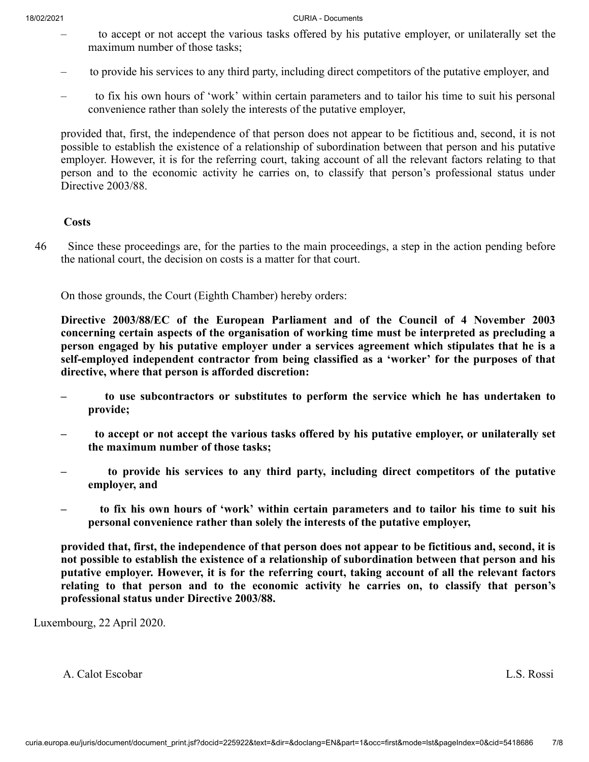- to accept or not accept the various tasks offered by his putative employer, or unilaterally set the maximum number of those tasks;
- to provide his services to any third party, including direct competitors of the putative employer, and
- to fix his own hours of 'work' within certain parameters and to tailor his time to suit his personal convenience rather than solely the interests of the putative employer,

provided that, first, the independence of that person does not appear to be fictitious and, second, it is not possible to establish the existence of a relationship of subordination between that person and his putative employer. However, it is for the referring court, taking account of all the relevant factors relating to that person and to the economic activity he carries on, to classify that person's professional status under Directive 2003/88.

### **Costs**

46 Since these proceedings are, for the parties to the main proceedings, a step in the action pending before the national court, the decision on costs is a matter for that court.

On those grounds, the Court (Eighth Chamber) hereby orders:

**Directive 2003/88/EC of the European Parliament and of the Council of 4 November 2003 concerning certain aspects of the organisation of working time must be interpreted as precluding a person engaged by his putative employer under a services agreement which stipulates that he is a self-employed independent contractor from being classified as a 'worker' for the purposes of that directive, where that person is afforded discretion:**

- **to use subcontractors or substitutes to perform the service which he has undertaken to provide;**
- **to accept or not accept the various tasks offered by his putative employer, or unilaterally set the maximum number of those tasks;**
- **to provide his services to any third party, including direct competitors of the putative employer, and**
- **to fix his own hours of 'work' within certain parameters and to tailor his time to suit his personal convenience rather than solely the interests of the putative employer,**

**provided that, first, the independence of that person does not appear to be fictitious and, second, it is not possible to establish the existence of a relationship of subordination between that person and his putative employer. However, it is for the referring court, taking account of all the relevant factors relating to that person and to the economic activity he carries on, to classify that person's professional status under Directive 2003/88.**

Luxembourg, 22 April 2020.

A. Calot Escobar L.S. Rossi